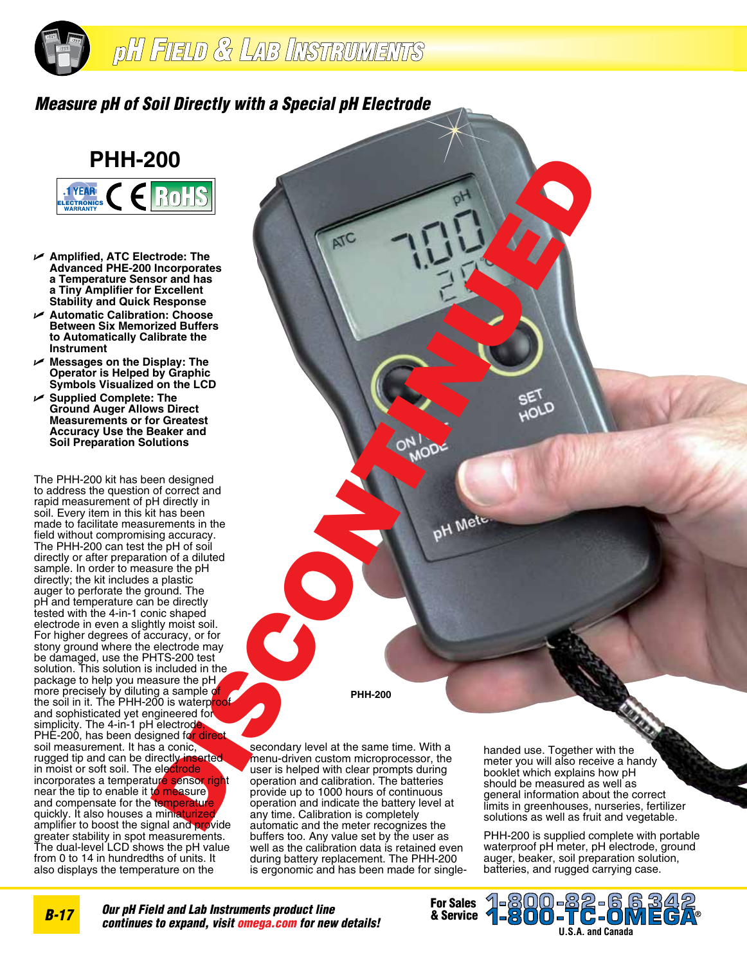

## *Measure pH of Soil Directly with a Special pH Electrode*



- U **Amplified, ATC Electrode: The Advanced PHE-200 Incorporates a Temperature Sensor and has a Tiny Amplifier for Excellent Stability and Quick Response**
- U **Automatic Calibration: Choose Between Six Memorized Buffers to Automatically Calibrate the Instrument**
- U **Messages on the Display: The Operator is Helped by Graphic Symbols Visualized on the LCD**
- U **Supplied Complete: The Ground Auger Allows Direct Measurements or for Greatest Accuracy Use the Beaker and Soil Preparation Solutions**

The PHH-200 kit has been designed to address the question of correct and rapid measurement of pH directly in soil. Every item in this kit has been made to facilitate measurements in the field without compromising accuracy. The PHH-200 can test the pH of soil directly or after preparation of a diluted sample. In order to measure the pH directly; the kit includes a plastic auger to perforate the ground. The pH and temperature can be directly tested with the 4-in-1 conic shaped electrode in even a slightly moist soil. For higher degrees of accuracy, or for stony ground where the electrode may be damaged, use the PHTS-200 test solution. This solution is included in the package to help you measure the pH more precisely by diluting a sample of the soil in it. The PHH-200 is waterp<mark>roof-</mark> and sophisticated yet engineered for simplicity. The 4-in-1 pH electrode PHE-200, has been designed for direct soil measurement. It has a conic, rugged tip and can be directly inserted in moist or soft soil. The electrode incorporates a temperature sensor right near the tip to enable it to measure and compensate for the temperature quickly. It also houses a miniaturized amplifier to boost the signal and provide greater stability in spot measurements. The dual-level LCD shows the pH value from 0 to 14 in hundredths of units. It also displays the temperature on the

**PHH-200** ROLL CONTINUED AND ROLL CONTINUED AND RESERVE AND RESERVE AND RESERVE AND RESERVE AND RESERVE AND RESERVE AND RESERVE AND RESERVE AND RESERVE AND RESERVE AND RESERVE AND RESERVE AND RESERVE AND RESERVE AND RESERVE AND RESE

secondary level at the same time. With a menu-driven custom microprocessor, the user is helped with clear prompts during operation and calibration. The batteries provide up to 1000 hours of continuous operation and indicate the battery level at any time. Calibration is completely automatic and the meter recognizes the buffers too. Any value set by the user as well as the calibration data is retained even during battery replacement. The PHH-200 is ergonomic and has been made for singlehanded use. Together with the meter you will also receive a handy booklet which explains how pH should be measured as well as general information about the correct limits in greenhouses, nurseries, fertilizer solutions as well as fruit and vegetable.

PHH-200 is supplied complete with portable waterproof pH meter, pH electrode, ground auger, beaker, soil preparation solution, batteries, and rugged carrying case.

**Our pH Field and Lab Instruments product line** *continues to expand, visit omega.com for new details!* **For Sales<br>& Service**